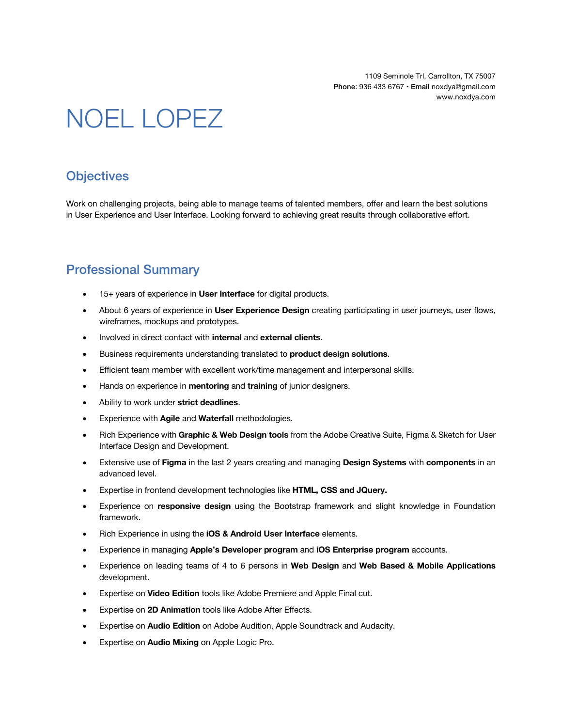1109 Seminole Trl, Carrollton, TX 75007 Phone: 936 433 6767 • Email noxdya@gmail.com www.noxdya.com

# NOEL LOPEZ

# **Objectives**

Work on challenging projects, being able to manage teams of talented members, offer and learn the best solutions in User Experience and User Interface. Looking forward to achieving great results through collaborative effort.

# Professional Summary

- 15+ years of experience in **User Interface** for digital products.
- About 6 years of experience in **User Experience Design** creating participating in user journeys, user flows, wireframes, mockups and prototypes.
- Involved in direct contact with **internal** and **external clients**.
- Business requirements understanding translated to **product design solutions**.
- Efficient team member with excellent work/time management and interpersonal skills.
- Hands on experience in **mentoring** and **training** of junior designers.
- Ability to work under **strict deadlines**.
- Experience with **Agile** and **Waterfall** methodologies.
- Rich Experience with **Graphic & Web Design tools** from the Adobe Creative Suite, Figma & Sketch for User Interface Design and Development.
- Extensive use of **Figma** in the last 2 years creating and managing **Design Systems** with **components** in an advanced level.
- Expertise in frontend development technologies like **HTML, CSS and JQuery.**
- Experience on **responsive design** using the Bootstrap framework and slight knowledge in Foundation framework.
- Rich Experience in using the **iOS & Android User Interface** elements.
- Experience in managing **Apple's Developer program** and **iOS Enterprise program** accounts.
- Experience on leading teams of 4 to 6 persons in **Web Design** and **Web Based & Mobile Applications** development.
- Expertise on **Video Edition** tools like Adobe Premiere and Apple Final cut.
- Expertise on **2D Animation** tools like Adobe After Effects.
- Expertise on **Audio Edition** on Adobe Audition, Apple Soundtrack and Audacity.
- Expertise on **Audio Mixing** on Apple Logic Pro.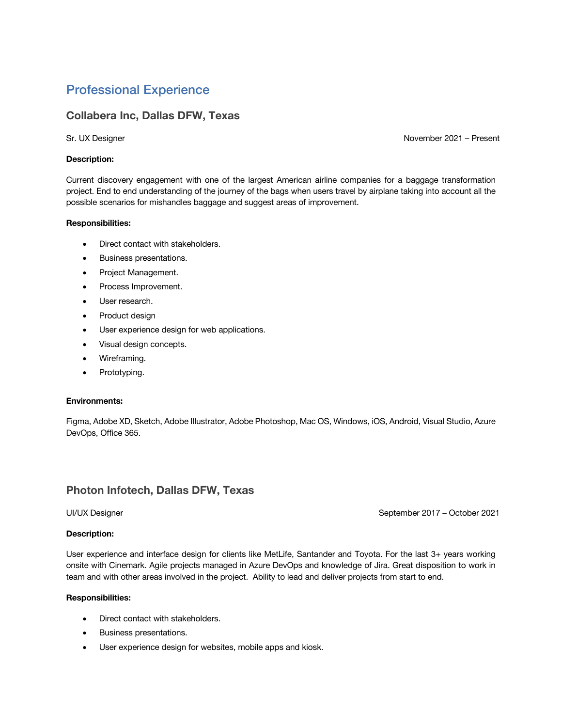# Professional Experience

#### **Collabera Inc, Dallas DFW, Texas**

Sr. UX Designer November 2021 – Present

#### **Description:**

Current discovery engagement with one of the largest American airline companies for a baggage transformation project. End to end understanding of the journey of the bags when users travel by airplane taking into account all the possible scenarios for mishandles baggage and suggest areas of improvement.

#### **Responsibilities:**

- Direct contact with stakeholders.
- Business presentations.
- Project Management.
- Process Improvement.
- User research.
- Product design
- User experience design for web applications.
- Visual design concepts.
- Wireframing.
- Prototyping.

#### **Environments:**

Figma, Adobe XD, Sketch, Adobe Illustrator, Adobe Photoshop, Mac OS, Windows, iOS, Android, Visual Studio, Azure DevOps, Office 365.

#### **Photon Infotech, Dallas DFW, Texas**

UI/UX Designer September 2017 – October 2021

#### **Description:**

User experience and interface design for clients like MetLife, Santander and Toyota. For the last 3+ years working onsite with Cinemark. Agile projects managed in Azure DevOps and knowledge of Jira. Great disposition to work in team and with other areas involved in the project. Ability to lead and deliver projects from start to end.

#### **Responsibilities:**

- Direct contact with stakeholders.
- Business presentations.
- User experience design for websites, mobile apps and kiosk.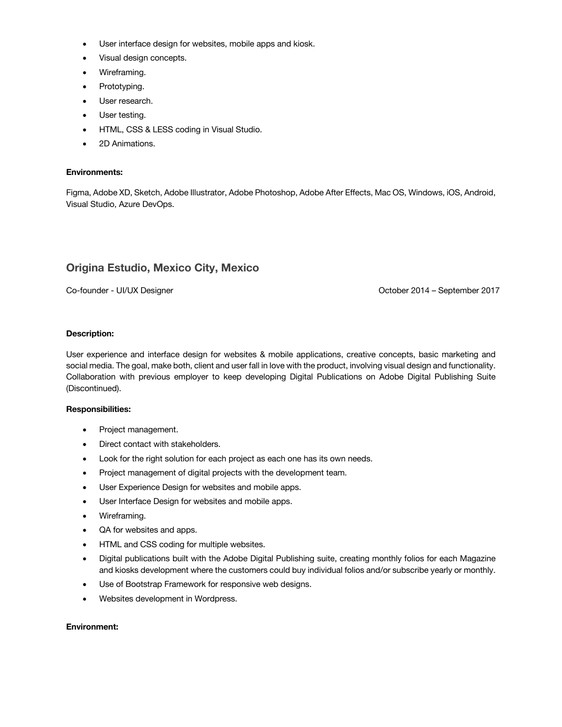- User interface design for websites, mobile apps and kiosk.
- Visual design concepts.
- Wireframing.
- Prototyping.
- User research.
- User testing.
- HTML, CSS & LESS coding in Visual Studio.
- 2D Animations.

#### **Environments:**

Figma, Adobe XD, Sketch, Adobe Illustrator, Adobe Photoshop, Adobe After Effects, Mac OS, Windows, iOS, Android, Visual Studio, Azure DevOps.

#### **Origina Estudio, Mexico City, Mexico**

Co-founder - UI/UX Designer Communication Communication Correspondent Communication Control Communication Communication Communication Communication Communication Communication Communication Communication Communication Comm

#### **Description:**

User experience and interface design for websites & mobile applications, creative concepts, basic marketing and social media. The goal, make both, client and user fall in love with the product, involving visual design and functionality. Collaboration with previous employer to keep developing Digital Publications on Adobe Digital Publishing Suite (Discontinued).

#### **Responsibilities:**

- Project management.
- Direct contact with stakeholders.
- Look for the right solution for each project as each one has its own needs.
- Project management of digital projects with the development team.
- User Experience Design for websites and mobile apps.
- User Interface Design for websites and mobile apps.
- Wireframing.
- QA for websites and apps.
- HTML and CSS coding for multiple websites.
- Digital publications built with the Adobe Digital Publishing suite, creating monthly folios for each Magazine and kiosks development where the customers could buy individual folios and/or subscribe yearly or monthly.
- Use of Bootstrap Framework for responsive web designs.
- Websites development in Wordpress.

#### **Environment:**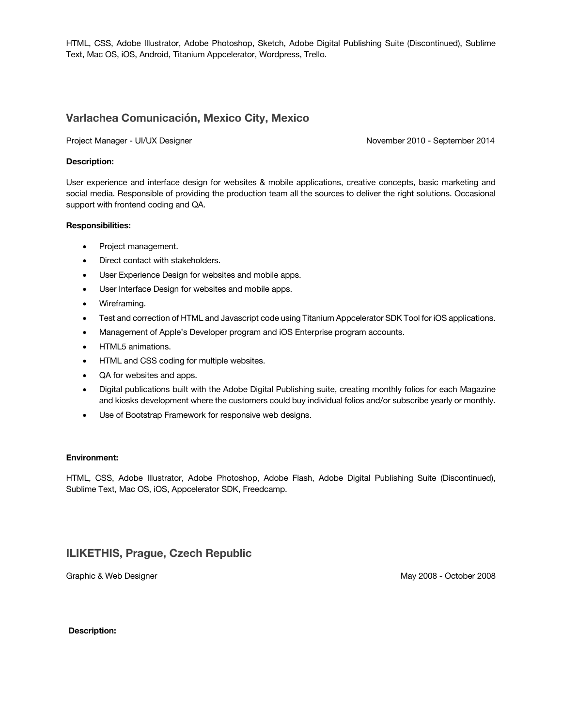HTML, CSS, Adobe Illustrator, Adobe Photoshop, Sketch, Adobe Digital Publishing Suite (Discontinued), Sublime Text, Mac OS, iOS, Android, Titanium Appcelerator, Wordpress, Trello.

#### **Varlachea Comunicación, Mexico City, Mexico**

Project Manager - UI/UX Designer November 2010 - September 2014

#### **Description:**

User experience and interface design for websites & mobile applications, creative concepts, basic marketing and social media. Responsible of providing the production team all the sources to deliver the right solutions. Occasional support with frontend coding and QA.

#### **Responsibilities:**

- Project management.
- Direct contact with stakeholders.
- User Experience Design for websites and mobile apps.
- User Interface Design for websites and mobile apps.
- Wireframing.
- Test and correction of HTML and Javascript code using Titanium Appcelerator SDK Tool for iOS applications.
- Management of Apple's Developer program and iOS Enterprise program accounts.
- HTML5 animations.
- HTML and CSS coding for multiple websites.
- QA for websites and apps.
- Digital publications built with the Adobe Digital Publishing suite, creating monthly folios for each Magazine and kiosks development where the customers could buy individual folios and/or subscribe yearly or monthly.
- Use of Bootstrap Framework for responsive web designs.

#### **Environment:**

HTML, CSS, Adobe Illustrator, Adobe Photoshop, Adobe Flash, Adobe Digital Publishing Suite (Discontinued), Sublime Text, Mac OS, iOS, Appcelerator SDK, Freedcamp.

### **ILIKETHIS, Prague, Czech Republic**

Graphic & Web Designer May 2008 - October 2008 - October 2008

#### **Description:**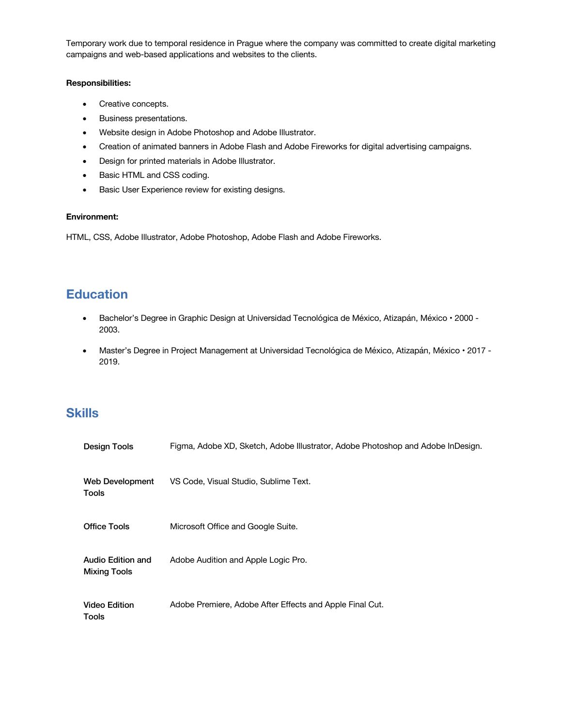Temporary work due to temporal residence in Prague where the company was committed to create digital marketing campaigns and web-based applications and websites to the clients.

#### **Responsibilities:**

- Creative concepts.
- Business presentations.
- Website design in Adobe Photoshop and Adobe Illustrator.
- Creation of animated banners in Adobe Flash and Adobe Fireworks for digital advertising campaigns.
- Design for printed materials in Adobe Illustrator.
- Basic HTML and CSS coding.
- Basic User Experience review for existing designs.

#### **Environment:**

HTML, CSS, Adobe Illustrator, Adobe Photoshop, Adobe Flash and Adobe Fireworks.

# **Education**

- Bachelor's Degree in Graphic Design at Universidad Tecnológica de México, Atizapán, México 2000 2003.
- Master's Degree in Project Management at Universidad Tecnológica de México, Atizapán, México 2017 2019.

## **Skills**

| Design Tools                             | Figma, Adobe XD, Sketch, Adobe Illustrator, Adobe Photoshop and Adobe InDesign. |
|------------------------------------------|---------------------------------------------------------------------------------|
| Web Development<br>Tools                 | VS Code, Visual Studio, Sublime Text.                                           |
| <b>Office Tools</b>                      | Microsoft Office and Google Suite.                                              |
| Audio Edition and<br><b>Mixing Tools</b> | Adobe Audition and Apple Logic Pro.                                             |
| <b>Video Edition</b><br>Tools            | Adobe Premiere, Adobe After Effects and Apple Final Cut.                        |